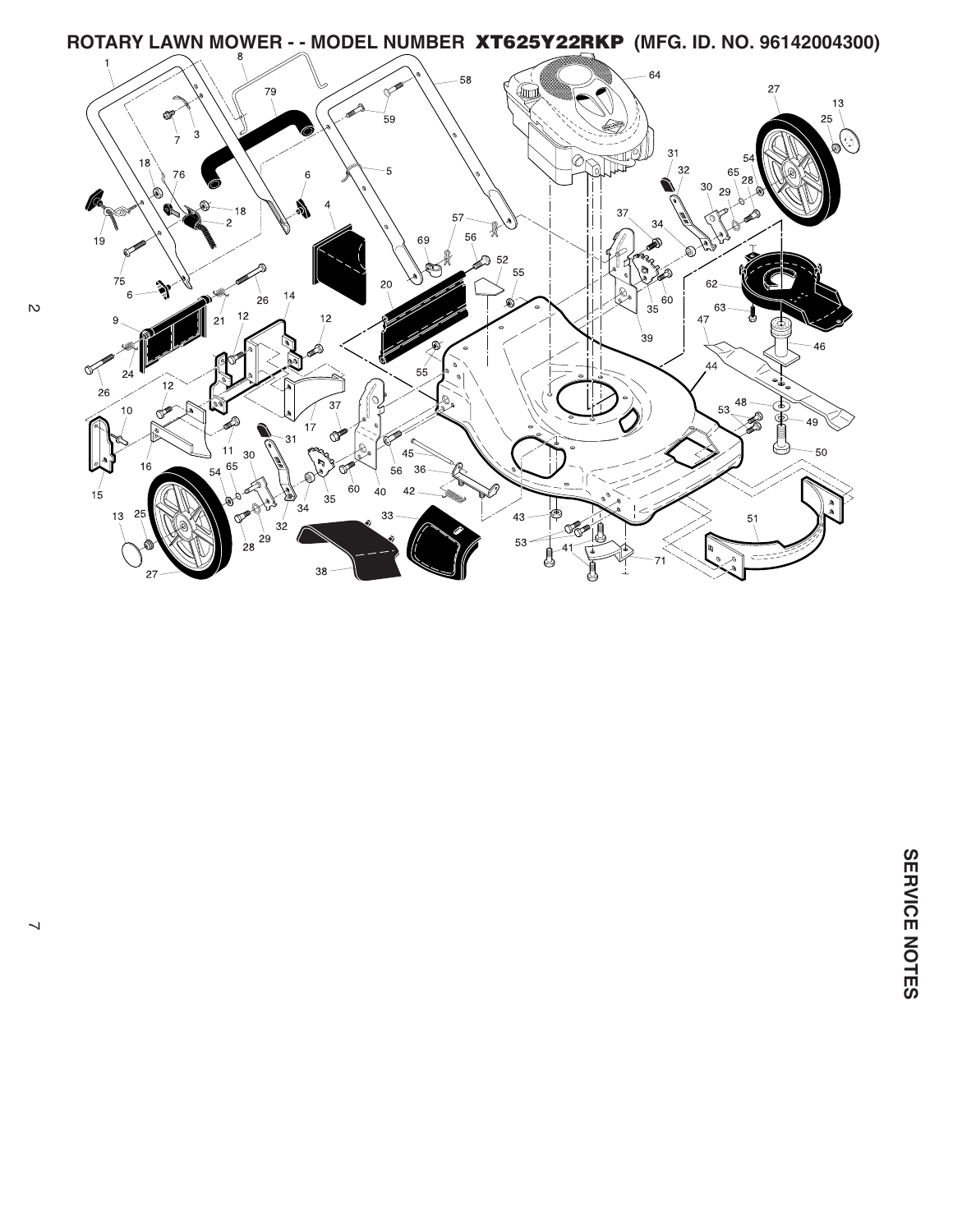

 $\mathcal{D}$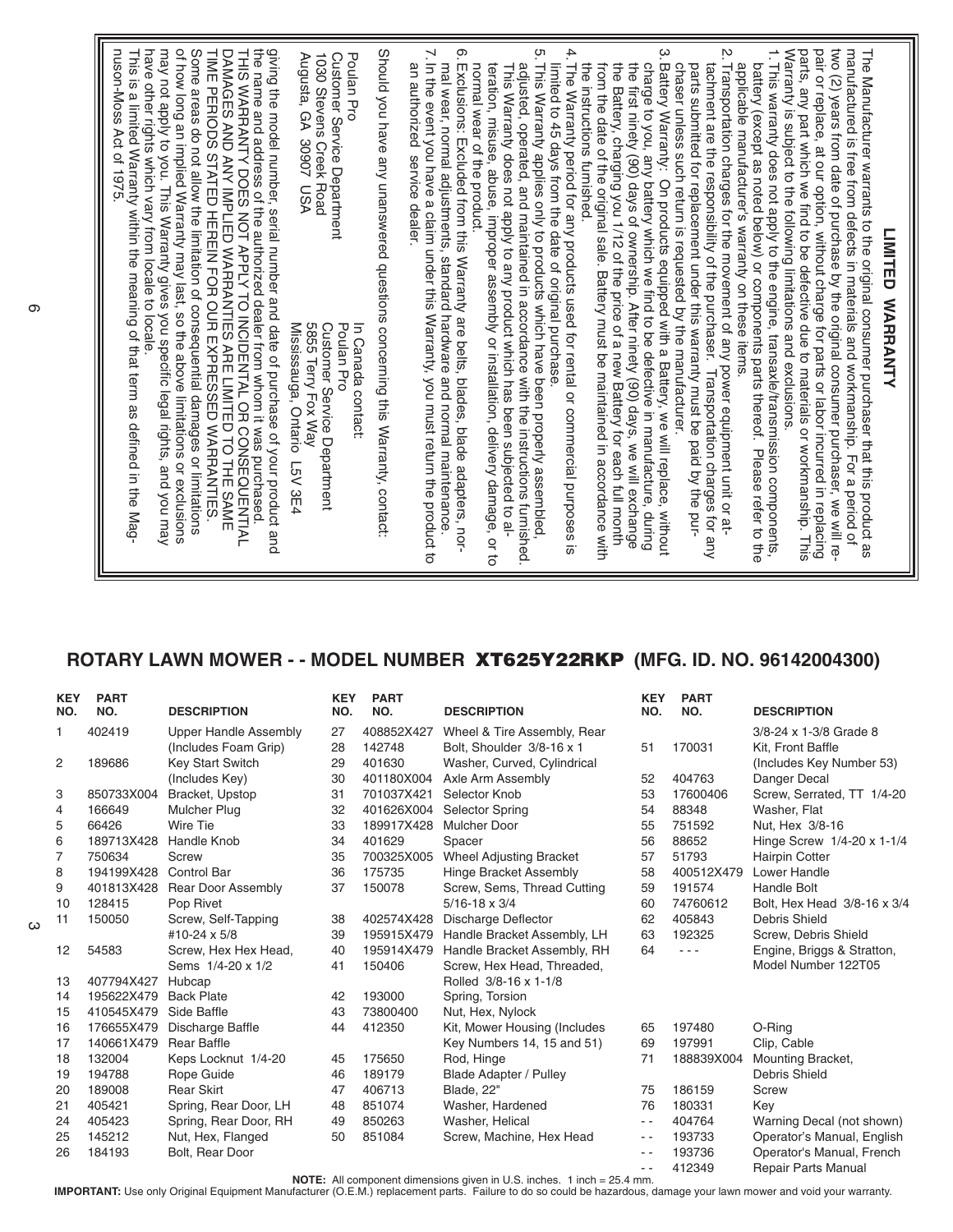## **ROTARY LAWN MOWER - - MODEL NUMBER XT625Y22RKP (MFG. ID. NO. 96142004300)**

| <b>KEY</b><br>NO. | <b>PART</b><br>NO. | <b>DESCRIPTION</b>           | <b>KEY</b><br>NO. | <b>PART</b><br>NO. | <b>DESCRIPTION</b>             | <b>KEY</b><br>NO. | <b>PART</b><br>NO. | <b>DESCRIPTION</b>          |
|-------------------|--------------------|------------------------------|-------------------|--------------------|--------------------------------|-------------------|--------------------|-----------------------------|
| 1.                | 402419             | <b>Upper Handle Assembly</b> | 27                | 408852X427         | Wheel & Tire Assembly, Rear    |                   |                    | 3/8-24 x 1-3/8 Grade 8      |
|                   |                    | (Includes Foam Grip)         | 28                | 142748             | Bolt, Shoulder 3/8-16 x 1      | 51                | 170031             | Kit. Front Baffle           |
| $\overline{2}$    | 189686             | <b>Key Start Switch</b>      | 29                | 401630             | Washer, Curved, Cylindrical    |                   |                    | (Includes Key Number 53)    |
|                   |                    | (Includes Key)               | 30                | 401180X004         | Axle Arm Assembly              | 52                | 404763             | Danger Decal                |
| 3                 | 850733X004         | Bracket, Upstop              | 31                | 701037X421         | Selector Knob                  | 53                | 17600406           | Screw, Serrated, TT 1/4-20  |
| 4                 | 166649             | <b>Mulcher Plug</b>          | 32                | 401626X004         | Selector Spring                | 54                | 88348              | Washer, Flat                |
| 5                 | 66426              | Wire Tie                     | 33                | 189917X428         | <b>Mulcher Door</b>            | 55                | 751592             | Nut, Hex 3/8-16             |
| 6                 | 189713X428         | Handle Knob                  | 34                | 401629             | Spacer                         | 56                | 88652              | Hinge Screw 1/4-20 x 1-1/4  |
| 7                 | 750634             | Screw                        | 35                | 700325X005         | <b>Wheel Adjusting Bracket</b> | 57                | 51793              | <b>Hairpin Cotter</b>       |
| 8                 | 194199X428         | Control Bar                  | 36                | 175735             | <b>Hinge Bracket Assembly</b>  | 58                | 400512X479         | Lower Handle                |
| 9                 | 401813X428         | <b>Rear Door Assembly</b>    | 37                | 150078             | Screw, Sems, Thread Cutting    | 59                | 191574             | <b>Handle Bolt</b>          |
| 10                | 128415             | Pop Rivet                    |                   |                    | $5/16 - 18 \times 3/4$         | 60                | 74760612           | Bolt. Hex Head 3/8-16 x 3/4 |
| 11                | 150050             | Screw, Self-Tapping          | 38                | 402574X428         | Discharge Deflector            | 62                | 405843             | Debris Shield               |
|                   |                    | #10-24 x 5/8                 | 39                | 195915X479         | Handle Bracket Assembly, LH    | 63                | 192325             | Screw, Debris Shield        |
| 12                | 54583              | Screw, Hex Hex Head,         | 40                | 195914X479         | Handle Bracket Assembly, RH    | 64                | - - -              | Engine, Briggs & Stratton,  |
|                   |                    | Sems 1/4-20 x 1/2            | 41                | 150406             | Screw, Hex Head, Threaded,     |                   |                    | Model Number 122T05         |
| 13                | 407794X427         | Hubcap                       |                   |                    | Rolled 3/8-16 x 1-1/8          |                   |                    |                             |
| 14                | 195622X479         | <b>Back Plate</b>            | 42                | 193000             | Spring, Torsion                |                   |                    |                             |
| 15                | 410545X479         | Side Baffle                  | 43                | 73800400           | Nut, Hex, Nylock               |                   |                    |                             |
| 16                | 176655X479         | Discharge Baffle             | 44                | 412350             | Kit, Mower Housing (Includes   | 65                | 197480             | O-Ring                      |
| 17                | 140661X479         | <b>Rear Baffle</b>           |                   |                    | Key Numbers 14, 15 and 51)     | 69                | 197991             | Clip, Cable                 |
| 18                | 132004             | Keps Locknut 1/4-20          | 45                | 175650             | Rod, Hinge                     | 71                | 188839X004         | Mounting Bracket,           |
| 19                | 194788             | Rope Guide                   | 46                | 189179             | <b>Blade Adapter / Pulley</b>  |                   |                    | Debris Shield               |
| 20                | 189008             | <b>Rear Skirt</b>            | 47                | 406713             | Blade, 22"                     | 75                | 186159             | Screw                       |
| 21                | 405421             | Spring, Rear Door, LH        | 48                | 851074             | Washer, Hardened               | 76                | 180331             | Key                         |
| 24                | 405423             | Spring, Rear Door, RH        | 49                | 850263             | Washer, Helical                | $\frac{1}{2}$     | 404764             | Warning Decal (not shown)   |
| 25                | 145212             | Nut, Hex, Flanged            | 50                | 851084             | Screw, Machine, Hex Head       | $ -$              | 193733             | Operator's Manual, English  |
| 26                | 184193             | Bolt, Rear Door              |                   |                    |                                | $ -$              | 193736             | Operator's Manual, French   |
|                   |                    |                              |                   |                    |                                | $ -$              | 412349             | <b>Repair Parts Manual</b>  |

NOTE: All component dimensions given in U.S. inches. 1 inch = 25.4 mm.<br>IMPORTANT: Use only Original Equipment Manufacturer (O.E.M.) replacement parts. Failure to do so could be hazardous, damage your lawn mower and void yo

 $\omega$